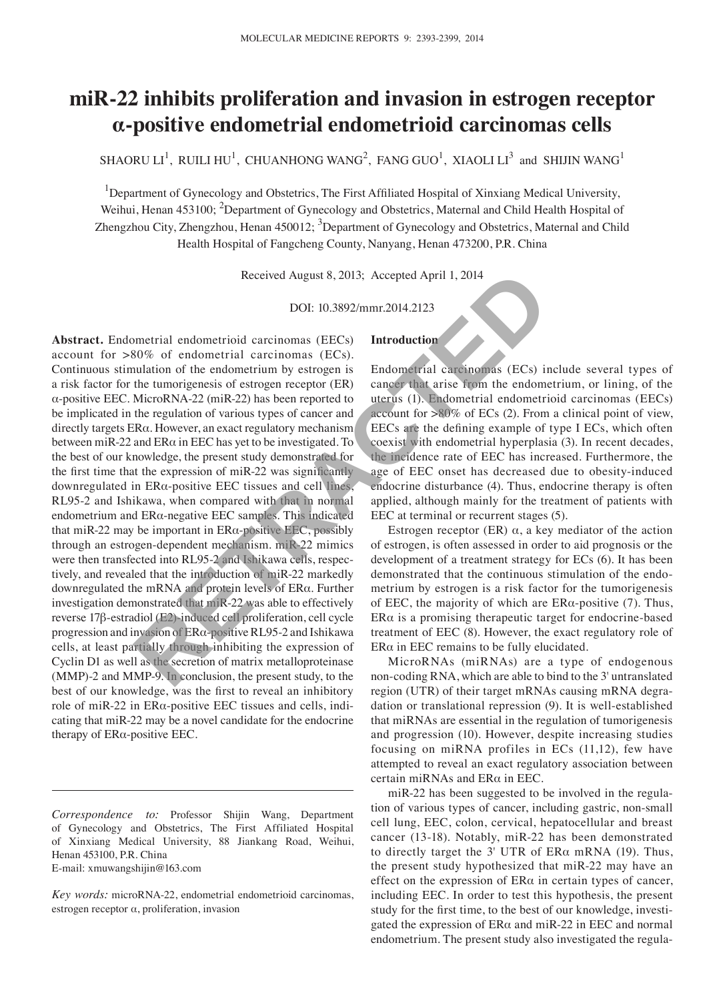# **miR‑22 inhibits proliferation and invasion in estrogen receptor α-positive endometrial endometrioid carcinomas cells**

SHAORU LI<sup>1</sup>, RUILI HU<sup>1</sup>, CHUANHONG WANG<sup>2</sup>, FANG GUO<sup>1</sup>, XIAOLI LI<sup>3</sup> and SHIJIN WANG<sup>1</sup>

<sup>1</sup>Department of Gynecology and Obstetrics, The First Affiliated Hospital of Xinxiang Medical University, Weihui, Henan 453100; <sup>2</sup>Department of Gynecology and Obstetrics, Maternal and Child Health Hospital of Zhengzhou City, Zhengzhou, Henan 450012; <sup>3</sup>Department of Gynecology and Obstetrics, Maternal and Child Health Hospital of Fangcheng County, Nanyang, Henan 473200, P.R. China

Received August 8, 2013; Accepted April 1, 2014

DOI: 10.3892/mmr.2014.2123

**Introduction**

**Abstract.** Endometrial endometrioid carcinomas (EECs) account for >80% of endometrial carcinomas (ECs). Continuous stimulation of the endometrium by estrogen is a risk factor for the tumorigenesis of estrogen receptor (ER) α-positive EEC. MicroRNA-22 (miR-22) has been reported to be implicated in the regulation of various types of cancer and directly targets ERα. However, an exact regulatory mechanism between miR-22 and ERα in EEC has yet to be investigated. To the best of our knowledge, the present study demonstrated for the first time that the expression of miR-22 was significantly downregulated in ERα-positive EEC tissues and cell lines, RL95-2 and Ishikawa, when compared with that in normal endometrium and ERα-negative EEC samples. This indicated that miR-22 may be important in  $ER\alpha$ -positive EEC, possibly through an estrogen-dependent mechanism. miR-22 mimics were then transfected into RL95-2 and Ishikawa cells, respectively, and revealed that the introduction of miR-22 markedly downregulated the mRNA and protein levels of ERα. Further investigation demonstrated that miR-22 was able to effectively reverse 17β-estradiol (E2)-induced cell proliferation, cell cycle progression and invasion of ERα-positive RL95-2 and Ishikawa cells, at least partially through inhibiting the expression of Cyclin D1 as well as the secretion of matrix metalloproteinase (MMP)-2 and MMP-9. In conclusion, the present study, to the best of our knowledge, was the first to reveal an inhibitory role of miR-22 in ERα-positive EEC tissues and cells, indicating that miR-22 may be a novel candidate for the endocrine therapy of ERα-positive EEC. Received August 8, 2013; Accepted April 1, 2014<br>
DOI: 10.3892/mmr.2014.2123<br>
DOI: 10.3892/mmr.2014.2123<br>
Now of endometrial carcinomas (EECs)<br>
Norword Conduction<br>
Sove of endometrial carcinomas (ECs).<br>
Introduction<br>
Multio

E-mail: xmuwangshijin@163.com

Endometrial carcinomas (ECs) include several types of cancer that arise from the endometrium, or lining, of the uterus (1). Endometrial endometrioid carcinomas (EECs) account for  $>80\%$  of ECs (2). From a clinical point of view, EECs are the defining example of type I ECs, which often coexist with endometrial hyperplasia (3). In recent decades, the incidence rate of EEC has increased. Furthermore, the age of EEC onset has decreased due to obesity-induced endocrine disturbance (4). Thus, endocrine therapy is often applied, although mainly for the treatment of patients with

Estrogen receptor (ER)  $\alpha$ , a key mediator of the action of estrogen, is often assessed in order to aid prognosis or the development of a treatment strategy for ECs (6). It has been demonstrated that the continuous stimulation of the endometrium by estrogen is a risk factor for the tumorigenesis of EEC, the majority of which are  $ER\alpha$ -positive (7). Thus, ER $\alpha$  is a promising therapeutic target for endocrine-based treatment of EEC (8). However, the exact regulatory role of  $ER\alpha$  in EEC remains to be fully elucidated.

EEC at terminal or recurrent stages (5).

MicroRNAs (miRNAs) are a type of endogenous non-coding RNA, which are able to bind to the 3' untranslated region (UTR) of their target mRNAs causing mRNA degradation or translational repression (9). It is well-established that miRNAs are essential in the regulation of tumorigenesis and progression (10). However, despite increasing studies focusing on miRNA profiles in ECs (11,12), few have attempted to reveal an exact regulatory association between certain miRNAs and ERα in EEC.

miR-22 has been suggested to be involved in the regulation of various types of cancer, including gastric, non-small cell lung, EEC, colon, cervical, hepatocellular and breast cancer (13-18). Notably, miR-22 has been demonstrated to directly target the 3' UTR of ERα mRNA (19). Thus, the present study hypothesized that miR-22 may have an effect on the expression of ERα in certain types of cancer, including EEC. In order to test this hypothesis, the present study for the first time, to the best of our knowledge, investigated the expression of ERα and miR-22 in EEC and normal endometrium. The present study also investigated the regula-

*Correspondence to:* Professor Shijin Wang, Department of Gynecology and Obstetrics, The First Affiliated Hospital of Xinxiang Medical University, 88 Jiankang Road, Weihui, Henan 453100, P.R. China

*Key words:* microRNA-22, endometrial endometrioid carcinomas, estrogen receptor α, proliferation, invasion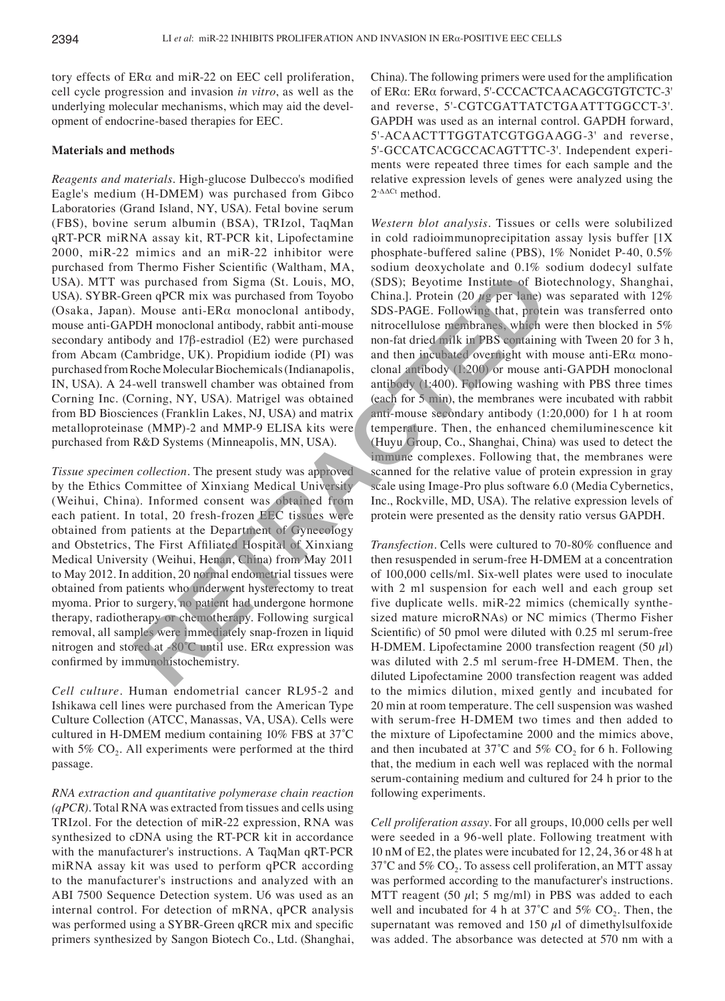tory effects of ERα and miR-22 on EEC cell proliferation, cell cycle progression and invasion *in vitro*, as well as the underlying molecular mechanisms, which may aid the development of endocrine-based therapies for EEC.

## **Materials and methods**

*Reagents and materials.* High‑glucose Dulbecco's modified Eagle's medium (H-DMEM) was purchased from Gibco Laboratories (Grand Island, NY, USA). Fetal bovine serum (FBS), bovine serum albumin (BSA), TRIzol, TaqMan qRT-PCR miRNA assay kit, RT-PCR kit, Lipofectamine 2000, miR-22 mimics and an miR-22 inhibitor were purchased from Thermo Fisher Scientific (Waltham, MA, USA). MTT was purchased from Sigma (St. Louis, MO, USA). SYBR-Green qPCR mix was purchased from Toyobo (Osaka, Japan). Mouse anti-ERα monoclonal antibody, mouse anti-GAPDH monoclonal antibody, rabbit anti-mouse secondary antibody and 17β-estradiol (E2) were purchased from Abcam (Cambridge, UK). Propidium iodide (PI) was purchased from Roche Molecular Biochemicals (Indianapolis, IN, USA). A 24-well transwell chamber was obtained from Corning Inc. (Corning, NY, USA). Matrigel was obtained from BD Biosciences (Franklin Lakes, NJ, USA) and matrix metalloproteinase (MMP)-2 and MMP-9 ELISA kits were purchased from R&D Systems (Minneapolis, MN, USA).

*Tissue specimen collection.* The present study was approved by the Ethics Committee of Xinxiang Medical University (Weihui, China). Informed consent was obtained from each patient. In total, 20 fresh-frozen EEC tissues were obtained from patients at the Department of Gynecology and Obstetrics, The First Affiliated Hospital of Xinxiang Medical University (Weihui, Henan, China) from May 2011 to May 2012. In addition, 20 normal endometrial tissues were obtained from patients who underwent hysterectomy to treat myoma. Prior to surgery, no patient had undergone hormone therapy, radiotherapy or chemotherapy. Following surgical removal, all samples were immediately snap-frozen in liquid nitrogen and stored at -80˚C until use. ERα expression was confirmed by immunohistochemistry.

*Cell culture.* Human endometrial cancer RL95-2 and Ishikawa cell lines were purchased from the American Type Culture Collection (ATCC, Manassas, VA, USA). Cells were cultured in H-DMEM medium containing 10% FBS at 37˚C with 5%  $CO<sub>2</sub>$ . All experiments were performed at the third passage.

*RNA extraction and quantitative polymerase chain reaction (qPCR).* Total RNA was extracted from tissues and cells using TRIzol. For the detection of miR-22 expression, RNA was synthesized to cDNA using the RT-PCR kit in accordance with the manufacturer's instructions. A TaqMan qRT-PCR miRNA assay kit was used to perform qPCR according to the manufacturer's instructions and analyzed with an ABI 7500 Sequence Detection system. U6 was used as an internal control. For detection of mRNA, qPCR analysis was performed using a SYBR-Green qRCR mix and specific primers synthesized by Sangon Biotech Co., Ltd. (Shanghai, China). The following primers were used for the amplification of ERα: ERα forward, 5'-CCCACTCAACAGCGTGTCTC-3' and reverse, 5'-CGTCGATTATCTGAATTTGGCCT-3'. GAPDH was used as an internal control. GAPDH forward, 5'-ACAACTTTGGTATCGTGGAAGG-3' and reverse, 5'-GCCATCACGCCACAGTTTC-3'. Independent experiments were repeated three times for each sample and the relative expression levels of genes were analyzed using the  $2$ <sup>- $\Delta\Delta$ C<sub>t</sub></sup> method.

*Western blot analysis.* Tissues or cells were solubilized in cold radioimmunoprecipitation assay lysis buffer [1X phosphate-buffered saline (PBS), 1% Nonidet P-40, 0.5% sodium deoxycholate and 0.1% sodium dodecyl sulfate (SDS); Beyotime Institute of Biotechnology, Shanghai, China.]. Protein (20  $\mu$ g per lane) was separated with 12% SDS-PAGE. Following that, protein was transferred onto nitrocellulose membranes, which were then blocked in 5% non-fat dried milk in PBS containing with Tween 20 for 3 h, and then incubated overnight with mouse anti-ERα monoclonal antibody (1:200) or mouse anti-GAPDH monoclonal antibody (1:400). Following washing with PBS three times (each for 5 min), the membranes were incubated with rabbit anti-mouse secondary antibody (1:20,000) for 1 h at room temperature. Then, the enhanced chemiluminescence kit (Huyu Group, Co., Shanghai, China) was used to detect the immune complexes. Following that, the membranes were scanned for the relative value of protein expression in gray scale using Image-Pro plus software 6.0 (Media Cybernetics, Inc., Rockville, MD, USA). The relative expression levels of protein were presented as the density ratio versus GAPDH. Fraction State Section (Varianal, 1943, Social and Collar State Collar State Collar State Collar State and Collar<br>
RETRACTER ACTES amonoclonal antibody, SDS (BDS); Beyotime Institute of Bic<br>
PDF monoclonal antibody, rabbi

*Transfection.* Cells were cultured to 70-80% confluence and then resuspended in serum-free H-DMEM at a concentration of 100,000 cells/ml. Six-well plates were used to inoculate with 2 ml suspension for each well and each group set five duplicate wells. miR-22 mimics (chemically synthesized mature microRNAs) or NC mimics (Thermo Fisher Scientific) of 50 pmol were diluted with 0.25 ml serum-free H-DMEM. Lipofectamine 2000 transfection reagent (50  $\mu$ l) was diluted with 2.5 ml serum-free H-DMEM. Then, the diluted Lipofectamine 2000 transfection reagent was added to the mimics dilution, mixed gently and incubated for 20 min at room temperature. The cell suspension was washed with serum-free H-DMEM two times and then added to the mixture of Lipofectamine 2000 and the mimics above, and then incubated at 37°C and 5%  $CO<sub>2</sub>$  for 6 h. Following that, the medium in each well was replaced with the normal serum-containing medium and cultured for 24 h prior to the following experiments.

*Cell proliferation assay.* For all groups, 10,000 cells per well were seeded in a 96-well plate. Following treatment with 10 nM of E2, the plates were incubated for 12, 24, 36 or 48 h at  $37^{\circ}$ C and  $5\%$  CO<sub>2</sub>. To assess cell proliferation, an MTT assay was performed according to the manufacturer's instructions. MTT reagent (50  $\mu$ l; 5 mg/ml) in PBS was added to each well and incubated for 4 h at  $37^{\circ}$ C and  $5\%$  CO<sub>2</sub>. Then, the supernatant was removed and 150  $\mu$ l of dimethylsulfoxide was added. The absorbance was detected at 570 nm with a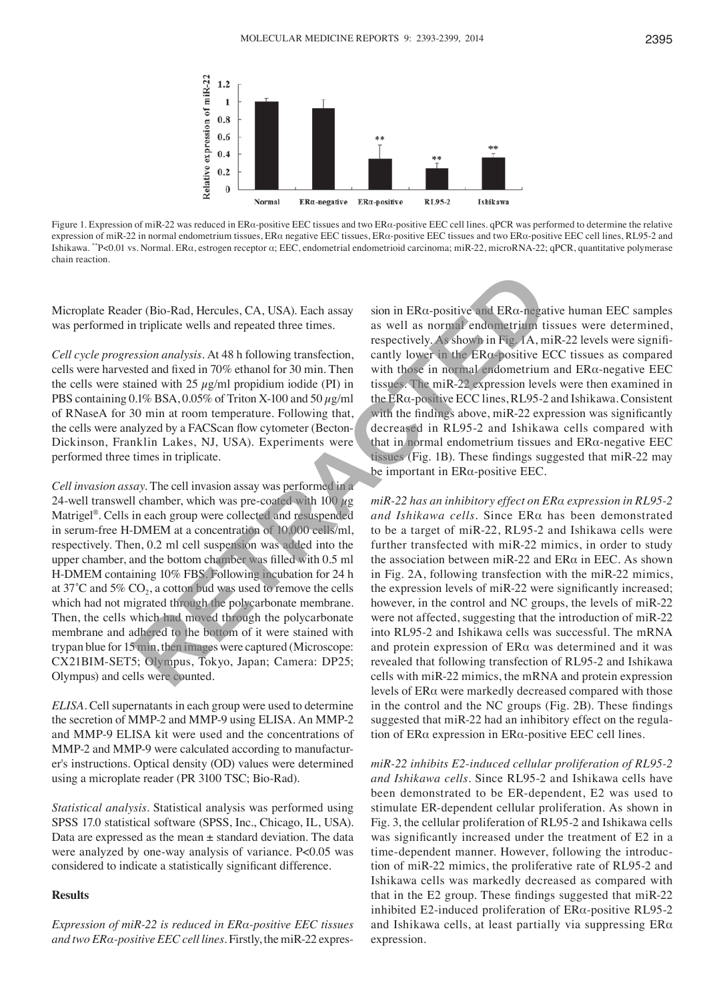

Figure 1. Expression of miR-22 was reduced in ERα-positive EEC tissues and two ERα-positive EEC cell lines. qPCR was performed to determine the relative expression of miR-22 in normal endometrium tissues, ERα negative EEC tissues, ERα-positive EEC tissues and two ERα-positive EEC cell lines, RL95-2 and Ishikawa. \*\*P<0.01 vs. Normal. ERα, estrogen receptor α; EEC, endometrial endometrioid carcinoma; miR-22, microRNA-22; qPCR, quantitative polymerase chain reaction.

Microplate Reader (Bio-Rad, Hercules, CA, USA). Each assay was performed in triplicate wells and repeated three times.

*Cell cycle progression analysis.* At 48 h following transfection, cells were harvested and fixed in 70% ethanol for 30 min. Then the cells were stained with 25  $\mu$ g/ml propidium iodide (PI) in PBS containing  $0.1\%$  BSA,  $0.05\%$  of Triton X-100 and 50  $\mu$ g/ml of RNaseA for 30 min at room temperature. Following that, the cells were analyzed by a FACScan flow cytometer (Becton-Dickinson, Franklin Lakes, NJ, USA). Experiments were performed three times in triplicate.

*Cell invasion assay.* The cell invasion assay was performed in a 24-well transwell chamber, which was pre-coated with 100  $\mu$ g Matrigel®. Cells in each group were collected and resuspended in serum-free H-DMEM at a concentration of 10,000 cells/ml, respectively. Then, 0.2 ml cell suspension was added into the upper chamber, and the bottom chamber was filled with 0.5 ml H-DMEM containing 10% FBS. Following incubation for 24 h at 37 $^{\circ}$ C and 5% CO<sub>2</sub>, a cotton bud was used to remove the cells which had not migrated through the polycarbonate membrane. Then, the cells which had moved through the polycarbonate membrane and adhered to the bottom of it were stained with trypan blue for 15 min, then images were captured (Microscope: CX21BIM-SET5; Olympus, Tokyo, Japan; Camera: DP25; Olympus) and cells were counted. Let (Bio-Rad, Hercules, CA, USA). Each assay<br>
is sion in ERa-positive and ERa-negative furtilicate wells and repeated three times.<br>
In triplicate wells and repeated three times.<br>
In the following transfection, cantly lowe

*ELISA.* Cell supernatants in each group were used to determine the secretion of MMP-2 and MMP-9 using ELISA. An MMP-2 and MMP-9 ELISA kit were used and the concentrations of MMP-2 and MMP-9 were calculated according to manufacturer's instructions. Optical density (OD) values were determined using a microplate reader (PR 3100 TSC; Bio-Rad).

*Statistical analysis.* Statistical analysis was performed using SPSS 17.0 statistical software (SPSS, Inc., Chicago, IL, USA). Data are expressed as the mean  $\pm$  standard deviation. The data were analyzed by one-way analysis of variance. P<0.05 was considered to indicate a statistically significant difference.

#### **Results**

*Expression of miR-22 is reduced in ERα-positive EEC tissues and two ERα-positive EEC cell lines.* Firstly, the miR-22 expres-

sion in ERα-positive and ERα-negative human EEC samples as well as normal endometrium tissues were determined, respectively. As shown in Fig. 1A, miR-22 levels were significantly lower in the  $ER\alpha$ -positive ECC tissues as compared with those in normal endometrium and ERα-negative EEC tissues. The miR-22 expression levels were then examined in the ERα-positive ECC lines, RL95-2 and Ishikawa. Consistent with the findings above, miR-22 expression was significantly decreased in RL95-2 and Ishikawa cells compared with that in normal endometrium tissues and ERα-negative EEC tissues (Fig. 1B). These findings suggested that miR-22 may be important in ERα-positive EEC.

*miR-22 has an inhibitory effect on ERα expression in RL95-2 and Ishikawa cells.* Since ERα has been demonstrated to be a target of miR-22, RL95-2 and Ishikawa cells were further transfected with miR-22 mimics, in order to study the association between miR-22 and  $ER\alpha$  in EEC. As shown in Fig. 2A, following transfection with the miR-22 mimics, the expression levels of miR-22 were significantly increased; however, in the control and NC groups, the levels of miR-22 were not affected, suggesting that the introduction of miR-22 into RL95-2 and Ishikawa cells was successful. The mRNA and protein expression of ERα was determined and it was revealed that following transfection of RL95-2 and Ishikawa cells with miR-22 mimics, the mRNA and protein expression levels of ERα were markedly decreased compared with those in the control and the NC groups (Fig. 2B). These findings suggested that miR-22 had an inhibitory effect on the regulation of ERα expression in ERα-positive EEC cell lines.

*miR-22 inhibits E2-induced cellular proliferation of RL95-2 and Ishikawa cells.* Since RL95-2 and Ishikawa cells have been demonstrated to be ER-dependent, E2 was used to stimulate ER-dependent cellular proliferation. As shown in Fig. 3, the cellular proliferation of RL95-2 and Ishikawa cells was significantly increased under the treatment of E2 in a time-dependent manner. However, following the introduction of miR-22 mimics, the proliferative rate of RL95-2 and Ishikawa cells was markedly decreased as compared with that in the E2 group. These findings suggested that miR-22 inhibited E2-induced proliferation of ERα-positive RL95-2 and Ishikawa cells, at least partially via suppressing  $ER\alpha$ expression.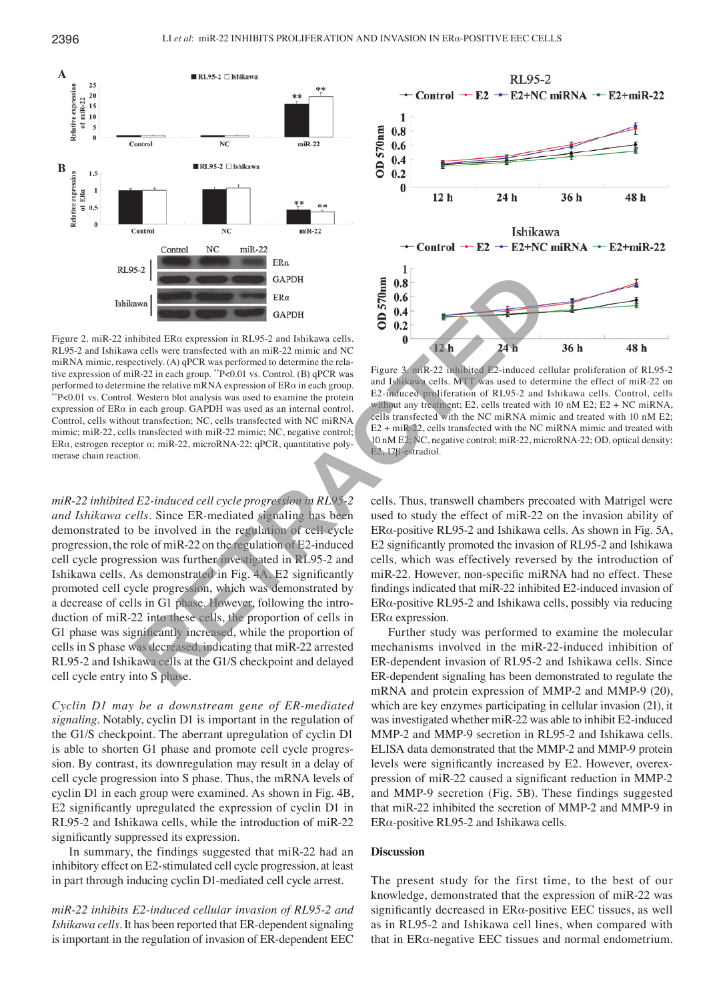

Figure 2. miR-22 inhibited ERα expression in RL95-2 and Ishikawa cells. RL95-2 and Ishikawa cells were transfected with an miR-22 mimic and NC miRNA mimic, respectively. (A) qPCR was performed to determine the relative expression of miR-22 in each group. \*\*P<0.01 vs. Control. (B) qPCR was performed to determine the relative mRNA expression of  $ER\alpha$  in each group. \*\*P<0.01 vs. Control. Western blot analysis was used to examine the protein expression of ERα in each group. GAPDH was used as an internal control. Control, cells without transfection; NC, cells transfected with NC miRNA mimic; miR-22, cells transfected with miR-22 mimic; NC, negative control; ERα, estrogen receptor α; miR-22, microRNA-22; qPCR, quantitative polymerase chain reaction.

*miR-22 inhibited E2-induced cell cycle progression in RL95-2 and Ishikawa cells.* Since ER-mediated signaling has been demonstrated to be involved in the regulation of cell cycle progression, the role of miR-22 on the regulation of E2-induced cell cycle progression was further investigated in RL95-2 and Ishikawa cells. As demonstrated in Fig. 4A, E2 significantly promoted cell cycle progression, which was demonstrated by a decrease of cells in G1 phase. However, following the introduction of miR-22 into these cells, the proportion of cells in G1 phase was significantly increased, while the proportion of cells in S phase was decreased, indicating that miR-22 arrested RL95-2 and Ishikawa cells at the G1/S checkpoint and delayed cell cycle entry into S phase. **EXAMPLE 1988**<br> **RETRACT CONDUCT CONSUMPLE 2**<br> **RETRACT CONDUCT CONDUCT CONDUCT CONDUCT**<br> **RETRACT CONDUCT CONDUCT CONDUCT CONDUCT**<br> **RETRACT CONDUCT CONDUCT CONDUCT**<br> **RETRACT CONDUCT CONDUCT CONDUCT**<br> **RETRACT CONDUCT C** 

*Cyclin D1 may be a downstream gene of ER-mediated signaling.* Notably, cyclin D1 is important in the regulation of the G1/S checkpoint. The aberrant upregulation of cyclin D1 is able to shorten G1 phase and promote cell cycle progression. By contrast, its downregulation may result in a delay of cell cycle progression into S phase. Thus, the mRNA levels of cyclin D1 in each group were examined. As shown in Fig. 4B, E2 significantly upregulated the expression of cyclin D1 in RL95-2 and Ishikawa cells, while the introduction of miR-22 significantly suppressed its expression.

In summary, the findings suggested that miR-22 had an inhibitory effect on E2-stimulated cell cycle progression, at least in part through inducing cyclin D1-mediated cell cycle arrest.

*miR-22 inhibits E2-induced cellular invasion of RL95-2 and Ishikawa cells.* It has been reported that ER-dependent signaling is important in the regulation of invasion of ER-dependent EEC



Figure 3. miR-22 inhibited E2-induced cellular proliferation of RL95-2 and Ishikawa cells. MTT was used to determine the effect of miR-22 on E2-induced proliferation of RL95-2 and Ishikawa cells. Control, cells without any treatment; E2, cells treated with 10 nM E2; E2 + NC miRNA, cells transfected with the NC miRNA mimic and treated with 10 nM E2; E2 + miR-22, cells transfected with the NC miRNA mimic and treated with 10 nM E2; NC, negative control; miR-22, microRNA-22; OD, optical density; E2, 17β-estradiol.

cells. Thus, transwell chambers precoated with Matrigel were used to study the effect of miR-22 on the invasion ability of ERα-positive RL95-2 and Ishikawa cells. As shown in Fig. 5A, E2 significantly promoted the invasion of RL95-2 and Ishikawa cells, which was effectively reversed by the introduction of miR-22. However, non-specific miRNA had no effect. These findings indicated that miR-22 inhibited E2-induced invasion of ERα-positive RL95-2 and Ishikawa cells, possibly via reducing ERα expression.

Further study was performed to examine the molecular mechanisms involved in the miR-22-induced inhibition of ER-dependent invasion of RL95-2 and Ishikawa cells. Since ER-dependent signaling has been demonstrated to regulate the mRNA and protein expression of MMP-2 and MMP-9 (20), which are key enzymes participating in cellular invasion (21), it was investigated whether miR-22 was able to inhibit E2-induced MMP-2 and MMP-9 secretion in RL95-2 and Ishikawa cells. ELISA data demonstrated that the MMP-2 and MMP-9 protein levels were significantly increased by E2. However, overexpression of miR-22 caused a significant reduction in MMP-2 and MMP-9 secretion (Fig. 5B). These findings suggested that miR-22 inhibited the secretion of MMP-2 and MMP-9 in ERα-positive RL95-2 and Ishikawa cells.

### **Discussion**

The present study for the first time, to the best of our knowledge, demonstrated that the expression of miR-22 was significantly decreased in ERα-positive EEC tissues, as well as in RL95-2 and Ishikawa cell lines, when compared with that in ERα-negative EEC tissues and normal endometrium.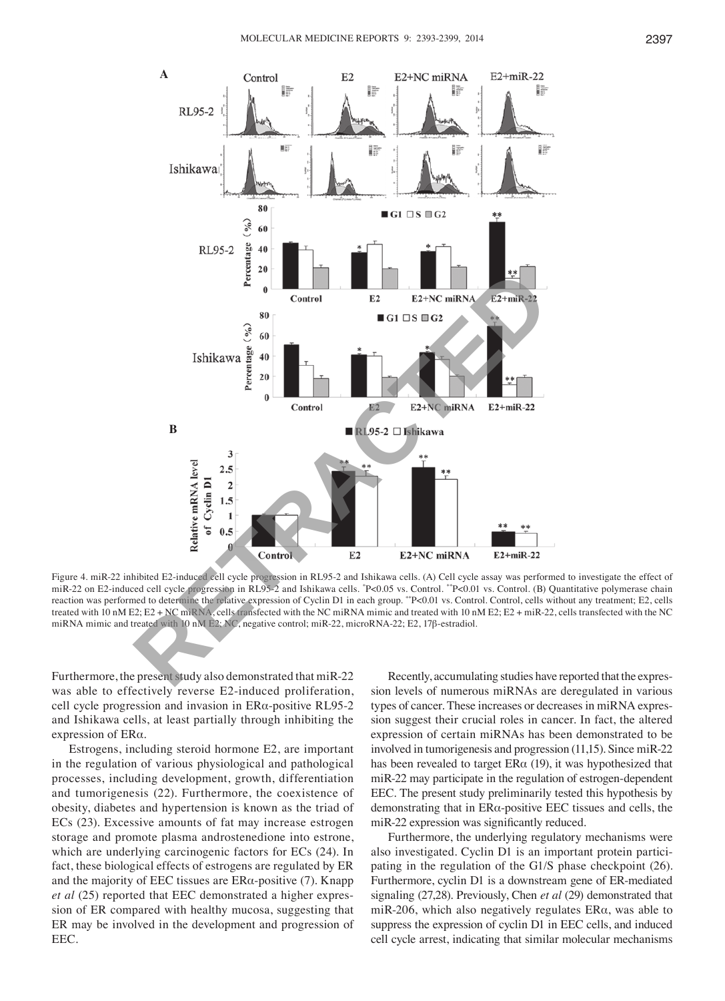

Figure 4. miR-22 inhibited E2-induced cell cycle progression in RL95-2 and Ishikawa cells. (A) Cell cycle assay was performed to investigate the effect of miR-22 on E2-induced cell cycle progression in RL95-2 and Ishikawa cells. "P<0.05 vs. Control. ""P<0.01 vs. Control. (B) Quantitative polymerase chain reaction was performed to determine the relative expression of Cyclin D1 in each group. \*\*P<0.01 vs. Control. Control, cells without any treatment; E2, cells treated with 10 nM E2; E2 + NC miRNA, cells transfected with the NC miRNA mimic and treated with 10 nM E2; E2 + miR-22, cells transfected with the NC miRNA mimic and treated with 10 nM E2; NC, negative control; miR-22, microRNA-22; E2, 17β-estradiol.

Furthermore, the present study also demonstrated that miR-22 was able to effectively reverse E2-induced proliferation, cell cycle progression and invasion in ERα-positive RL95-2 and Ishikawa cells, at least partially through inhibiting the expression of ERα.

Estrogens, including steroid hormone E2, are important in the regulation of various physiological and pathological processes, including development, growth, differentiation and tumorigenesis (22). Furthermore, the coexistence of obesity, diabetes and hypertension is known as the triad of ECs (23). Excessive amounts of fat may increase estrogen storage and promote plasma androstenedione into estrone, which are underlying carcinogenic factors for ECs (24). In fact, these biological effects of estrogens are regulated by ER and the majority of EEC tissues are  $ER\alpha$ -positive (7). Knapp *et al* (25) reported that EEC demonstrated a higher expression of ER compared with healthy mucosa, suggesting that ER may be involved in the development and progression of EEC.

Recently, accumulating studies have reported that the expression levels of numerous miRNAs are deregulated in various types of cancer. These increases or decreases in miRNA expression suggest their crucial roles in cancer. In fact, the altered expression of certain miRNAs has been demonstrated to be involved in tumorigenesis and progression (11,15). Since miR-22 has been revealed to target  $ER\alpha$  (19), it was hypothesized that miR-22 may participate in the regulation of estrogen-dependent EEC. The present study preliminarily tested this hypothesis by demonstrating that in ERα-positive EEC tissues and cells, the miR-22 expression was significantly reduced.

Furthermore, the underlying regulatory mechanisms were also investigated. Cyclin D1 is an important protein participating in the regulation of the G1/S phase checkpoint (26). Furthermore, cyclin D1 is a downstream gene of ER-mediated signaling (27,28). Previously, Chen *et al* (29) demonstrated that miR-206, which also negatively regulates  $ER\alpha$ , was able to suppress the expression of cyclin D1 in EEC cells, and induced cell cycle arrest, indicating that similar molecular mechanisms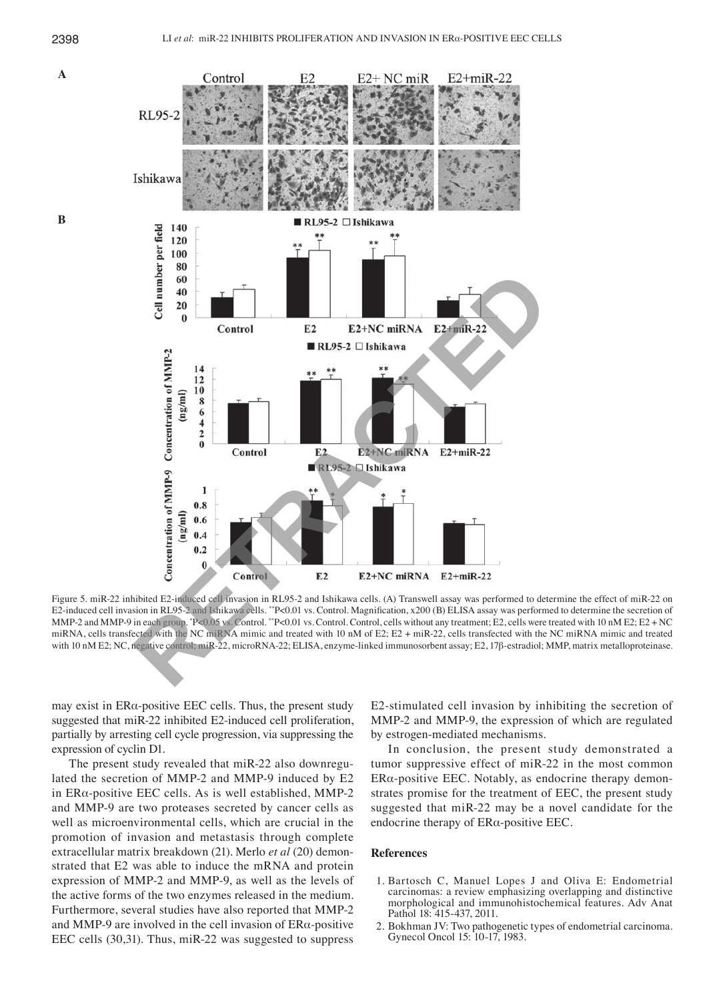

Figure 5. miR-22 inhibited E2-induced cell invasion in RL95-2 and Ishikawa cells. (A) Transwell assay was performed to determine the effect of miR-22 on E2-induced cell invasion in RL95-2 and Ishikawa cells. \*\*P<0.01 vs. Control. Magnification, x200 (B) ELISA assay was performed to determine the secretion of MMP-2 and MMP-9 in each group. \*P<0.05 vs. Control. \*\*P<0.01 vs. Control. Control, cells without any treatment; E2, cells were treated with 10 nM E2; E2 + NC miRNA, cells transfected with the NC miRNA mimic and treated with 10 nM of E2; E2 + miR-22, cells transfected with the NC miRNA mimic and treated with 10 nM E2; NC, negative control; miR-22, microRNA-22; ELISA, enzyme-linked immunosorbent assay; Ε2, 17β-estradiol; MMP, matrix metalloproteinase.

may exist in  $ER\alpha$ -positive EEC cells. Thus, the present study suggested that miR-22 inhibited E2-induced cell proliferation, partially by arresting cell cycle progression, via suppressing the expression of cyclin D1.

The present study revealed that miR-22 also downregulated the secretion of MMP-2 and MMP-9 induced by E2 in ERα-positive EEC cells. As is well established, MMP-2 and MMP-9 are two proteases secreted by cancer cells as well as microenvironmental cells, which are crucial in the promotion of invasion and metastasis through complete extracellular matrix breakdown (21). Merlo *et al* (20) demonstrated that E2 was able to induce the mRNA and protein expression of MMP-2 and MMP-9, as well as the levels of the active forms of the two enzymes released in the medium. Furthermore, several studies have also reported that MMP-2 and MMP-9 are involved in the cell invasion of  $ER\alpha$ -positive EEC cells (30,31). Thus, miR-22 was suggested to suppress E2-stimulated cell invasion by inhibiting the secretion of MMP-2 and MMP-9, the expression of which are regulated by estrogen-mediated mechanisms.

In conclusion, the present study demonstrated a tumor suppressive effect of miR-22 in the most common ERα-positive EEC. Notably, as endocrine therapy demonstrates promise for the treatment of EEC, the present study suggested that miR-22 may be a novel candidate for the endocrine therapy of  $ER\alpha$ -positive EEC.

#### **References**

- 1. Bartosch C, Manuel Lopes J and Oliva E: Endometrial carcinomas: a review emphasizing overlapping and distinctive morphological and immunohistochemical features. Adv Anat Pathol 18: 415-437, 2011.
- 2. Bokhman JV: Two pathogenetic types of endometrial carcinoma. Gynecol Oncol 15: 10-17, 1983.

 **A**